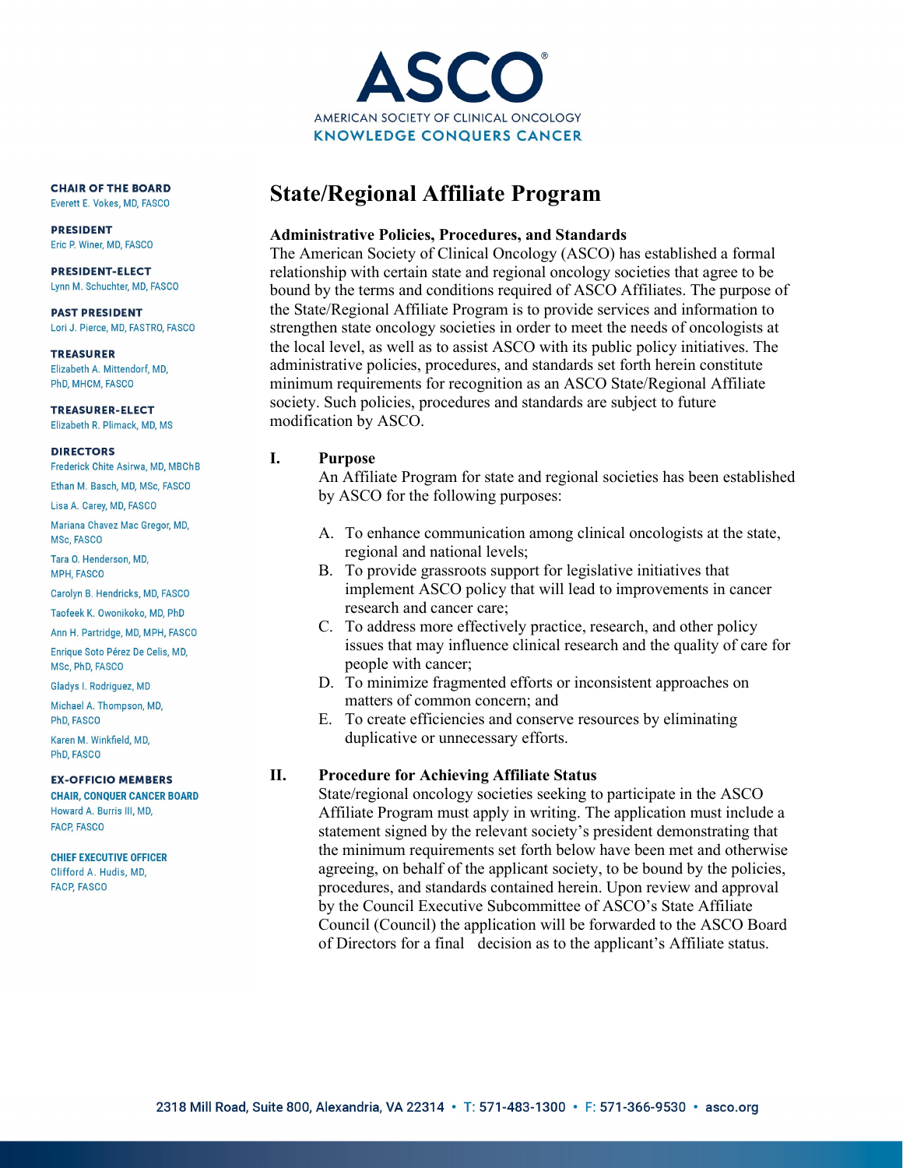

**CHAIR OF THE BOARD** Everett E. Vokes, MD, FASCO

**PRESIDENT** Eric P. Winer, MD, FASCO

**PRESIDENT-ELECT** Lynn M. Schuchter, MD, FASCO

**PAST PRESIDENT** Lori J. Pierce, MD, FASTRO, FASCO

**TREASURER** Elizabeth A. Mittendorf, MD, PhD, MHCM, FASCO

**TREASURER-ELECT** Elizabeth R. Plimack, MD, MS

**DIRECTORS** 

Frederick Chite Asirwa, MD, MBChB

Ethan M. Basch, MD, MSc, FASCO Lisa A. Carey, MD, FASCO

Mariana Chavez Mac Gregor, MD, MSc. FASCO

Tara O. Henderson, MD. **MPH, FASCO** 

Carolyn B. Hendricks, MD, FASCO

Taofeek K. Owonikoko, MD, PhD

Ann H. Partridge, MD, MPH, FASCO

Enrique Soto Pérez De Celis, MD, MSc, PhD, FASCO

Gladys I. Rodriguez, MD

Michael A. Thompson, MD, PhD. FASCO

Karen M. Winkfield, MD, PhD. FASCO

**EX-OFFICIO MEMBERS** 

**CHAIR, CONQUER CANCER BOARD** Howard A. Burris III, MD, **FACP, FASCO** 

**CHIEF EXECUTIVE OFFICER** Clifford A. Hudis, MD, **FACP, FASCO** 

# **State/Regional Affiliate Program**

## **Administrative Policies, Procedures, and Standards**

The American Society of Clinical Oncology (ASCO) has established a formal relationship with certain state and regional oncology societies that agree to be bound by the terms and conditions required of ASCO Affiliates. The purpose of the State/Regional Affiliate Program is to provide services and information to strengthen state oncology societies in order to meet the needs of oncologists at the local level, as well as to assist ASCO with its public policy initiatives. The administrative policies, procedures, and standards set forth herein constitute minimum requirements for recognition as an ASCO State/Regional Affiliate society. Such policies, procedures and standards are subject to future modification by ASCO.

### **I. Purpose**

An Affiliate Program for state and regional societies has been established by ASCO for the following purposes:

- A. To enhance communication among clinical oncologists at the state, regional and national levels;
- B. To provide grassroots support for legislative initiatives that implement ASCO policy that will lead to improvements in cancer research and cancer care;
- C. To address more effectively practice, research, and other policy issues that may influence clinical research and the quality of care for people with cancer;
- D. To minimize fragmented efforts or inconsistent approaches on matters of common concern; and
- E. To create efficiencies and conserve resources by eliminating duplicative or unnecessary efforts.

# **II. Procedure for Achieving Affiliate Status**

State/regional oncology societies seeking to participate in the ASCO Affiliate Program must apply in writing. The application must include a statement signed by the relevant society's president demonstrating that the minimum requirements set forth below have been met and otherwise agreeing, on behalf of the applicant society, to be bound by the policies, procedures, and standards contained herein. Upon review and approval by the Council Executive Subcommittee of ASCO's State Affiliate Council (Council) the application will be forwarded to the ASCO Board of Directors for a final decision as to the applicant's Affiliate status.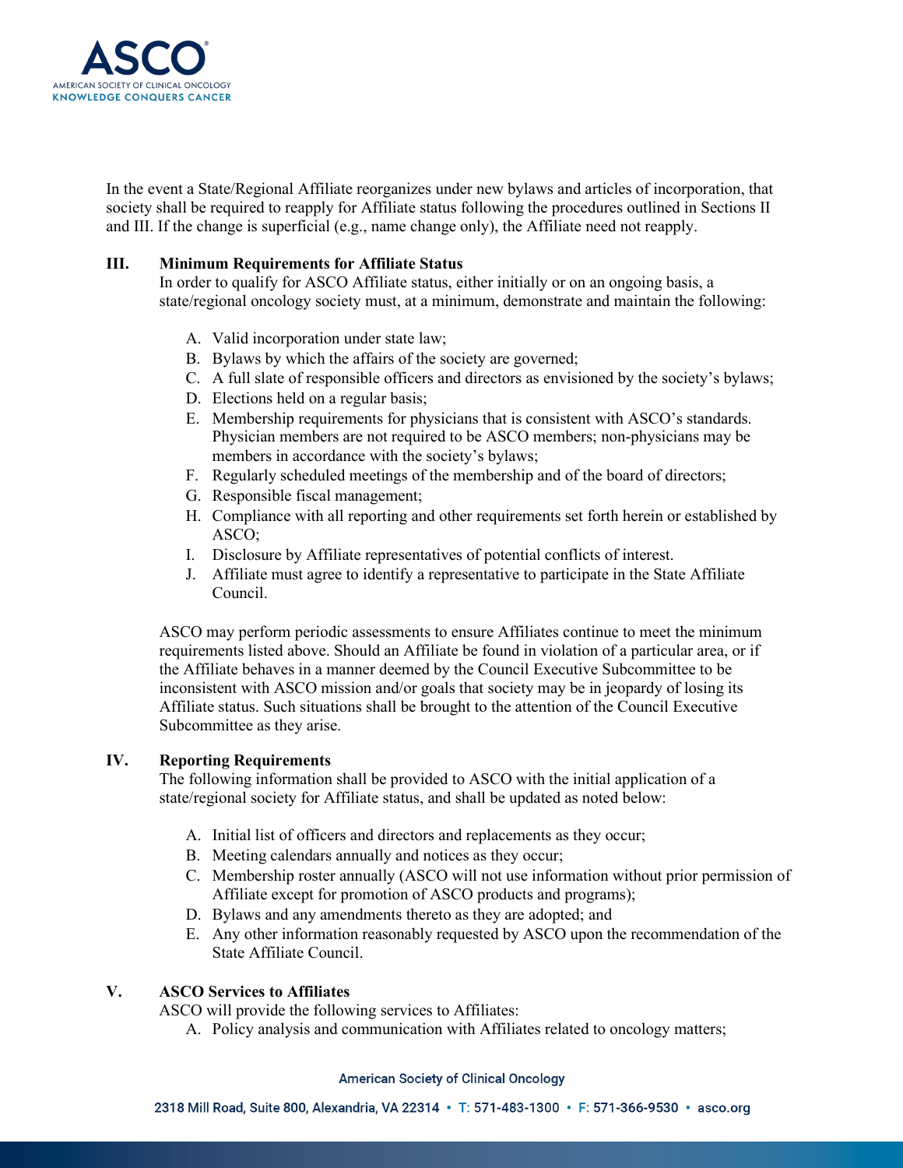

In the event a State/Regional Affiliate reorganizes under new bylaws and articles of incorporation, that society shall be required to reapply for Affiliate status following the procedures outlined in Sections II and III. If the change is superficial (e.g., name change only), the Affiliate need not reapply.

#### **III. Minimum Requirements for Affiliate Status**

In order to qualify for ASCO Affiliate status, either initially or on an ongoing basis, a state/regional oncology society must, at a minimum, demonstrate and maintain the following:

- A. Valid incorporation under state law;
- B. Bylaws by which the affairs of the society are governed;
- C. A full slate of responsible officers and directors as envisioned by the society's bylaws;
- D. Elections held on a regular basis;
- E. Membership requirements for physicians that is consistent with ASCO's standards. Physician members are not required to be ASCO members; non-physicians may be members in accordance with the society's bylaws;
- F. Regularly scheduled meetings of the membership and of the board of directors;
- G. Responsible fiscal management;
- H. Compliance with all reporting and other requirements set forth herein or established by ASCO;
- I. Disclosure by Affiliate representatives of potential conflicts of interest.
- J. Affiliate must agree to identify a representative to participate in the State Affiliate Council.

ASCO may perform periodic assessments to ensure Affiliates continue to meet the minimum requirements listed above. Should an Affiliate be found in violation of a particular area, or if the Affiliate behaves in a manner deemed by the Council Executive Subcommittee to be inconsistent with ASCO mission and/or goals that society may be in jeopardy of losing its Affiliate status. Such situations shall be brought to the attention of the Council Executive Subcommittee as they arise.

#### **IV. Reporting Requirements**

The following information shall be provided to ASCO with the initial application of a state/regional society for Affiliate status, and shall be updated as noted below:

- A. Initial list of officers and directors and replacements as they occur;
- B. Meeting calendars annually and notices as they occur;
- C. Membership roster annually (ASCO will not use information without prior permission of Affiliate except for promotion of ASCO products and programs);
- D. Bylaws and any amendments thereto as they are adopted; and
- E. Any other information reasonably requested by ASCO upon the recommendation of the State Affiliate Council.

#### **V. ASCO Services to Affiliates**

ASCO will provide the following services to Affiliates:

A. Policy analysis and communication with Affiliates related to oncology matters;

#### **American Society of Clinical Oncology**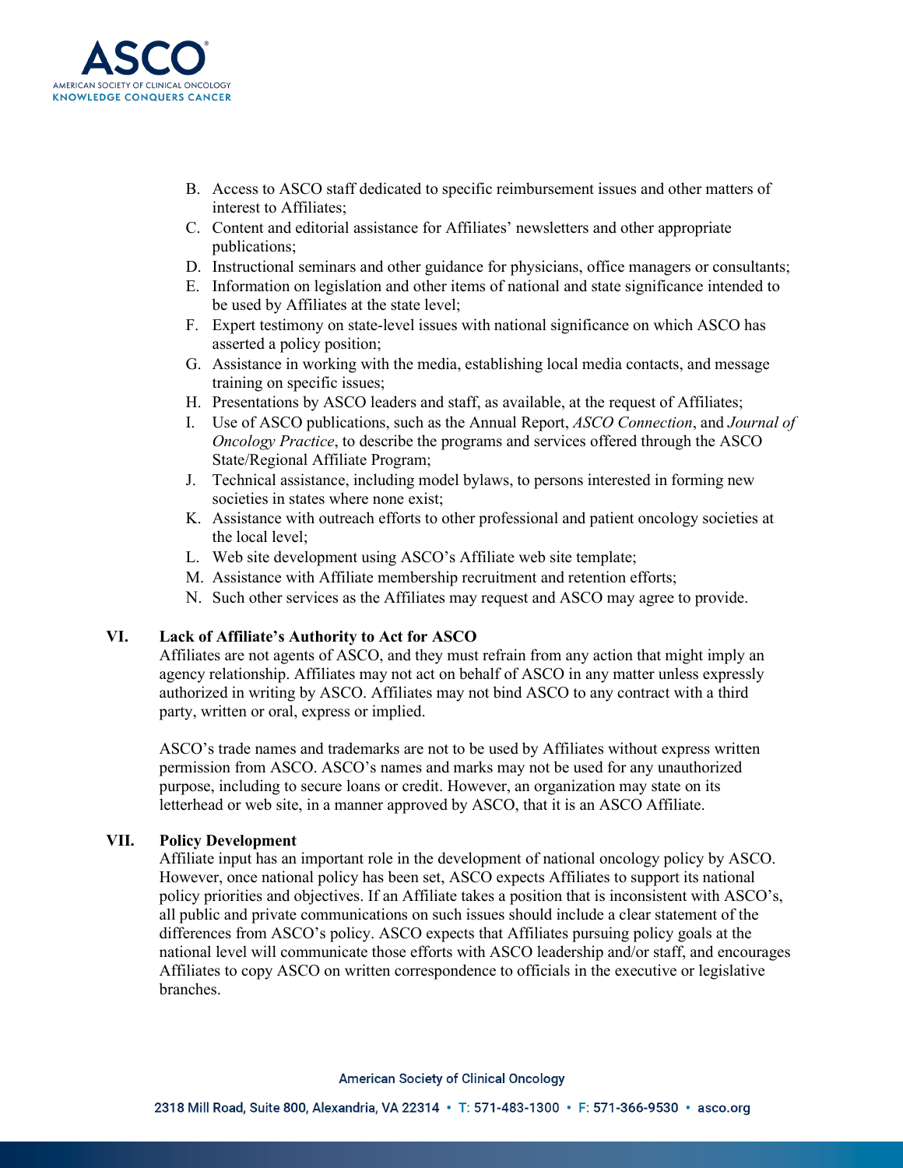

- B. Access to ASCO staff dedicated to specific reimbursement issues and other matters of interest to Affiliates;
- C. Content and editorial assistance for Affiliates' newsletters and other appropriate publications;
- D. Instructional seminars and other guidance for physicians, office managers or consultants;
- E. Information on legislation and other items of national and state significance intended to be used by Affiliates at the state level;
- F. Expert testimony on state-level issues with national significance on which ASCO has asserted a policy position;
- G. Assistance in working with the media, establishing local media contacts, and message training on specific issues;
- H. Presentations by ASCO leaders and staff, as available, at the request of Affiliates;
- I. Use of ASCO publications, such as the Annual Report, *ASCO Connection*, and *Journal of Oncology Practice*, to describe the programs and services offered through the ASCO State/Regional Affiliate Program;
- J. Technical assistance, including model bylaws, to persons interested in forming new societies in states where none exist;
- K. Assistance with outreach efforts to other professional and patient oncology societies at the local level;
- L. Web site development using ASCO's Affiliate web site template;
- M. Assistance with Affiliate membership recruitment and retention efforts;
- N. Such other services as the Affiliates may request and ASCO may agree to provide.

### **VI. Lack of Affiliate's Authority to Act for ASCO**

Affiliates are not agents of ASCO, and they must refrain from any action that might imply an agency relationship. Affiliates may not act on behalf of ASCO in any matter unless expressly authorized in writing by ASCO. Affiliates may not bind ASCO to any contract with a third party, written or oral, express or implied.

ASCO's trade names and trademarks are not to be used by Affiliates without express written permission from ASCO. ASCO's names and marks may not be used for any unauthorized purpose, including to secure loans or credit. However, an organization may state on its letterhead or web site, in a manner approved by ASCO, that it is an ASCO Affiliate.

#### **VII. Policy Development**

Affiliate input has an important role in the development of national oncology policy by ASCO. However, once national policy has been set, ASCO expects Affiliates to support its national policy priorities and objectives. If an Affiliate takes a position that is inconsistent with ASCO's, all public and private communications on such issues should include a clear statement of the differences from ASCO's policy. ASCO expects that Affiliates pursuing policy goals at the national level will communicate those efforts with ASCO leadership and/or staff, and encourages Affiliates to copy ASCO on written correspondence to officials in the executive or legislative branches.